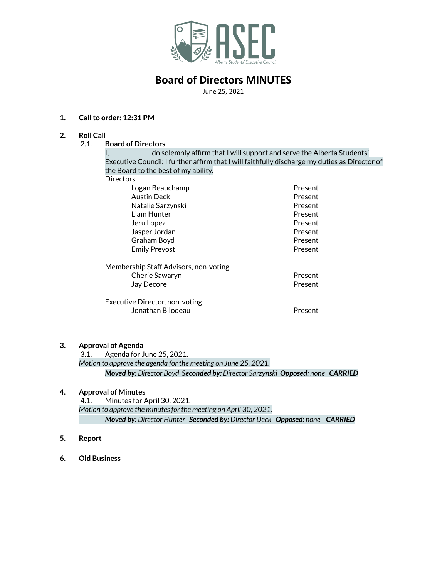

# **Board of Directors MINUTES**

June 25, 2021

## **1. Callto order: 12:31 PM**

- **2. Roll Call**
	- 2.1. **Board of Directors**

I, \_\_\_\_\_\_\_\_\_\_\_ do solemnly affirm that I will support and serve the Alberta Students' Executive Council; I further affirm that I will faithfully discharge my duties as Director of the Board to the best of my ability.

| Directors                             |         |
|---------------------------------------|---------|
| Logan Beauchamp                       | Present |
| <b>Austin Deck</b>                    | Present |
| Natalie Sarzynski                     | Present |
| Liam Hunter                           | Present |
| Jeru Lopez                            | Present |
| Jasper Jordan                         | Present |
| Graham Boyd                           | Present |
| <b>Emily Prevost</b>                  | Present |
| Membership Staff Advisors, non-voting |         |
| Cherie Sawaryn                        | Present |
| Jay Decore                            | Present |
| Executive Director, non-voting        |         |
| Jonathan Bilodeau                     | Present |

#### **3. Approval of Agenda**

3.1. Agenda for June 25, 2021. *Motion to approve the agenda for the meeting on June 25, 2021. Moved by: Director Boyd Seconded by: Director Sarzynski Opposed: none CARRIED*

### **4. Approval of Minutes**

4.1. Minutes for April 30, 2021. *Motion to approve the minutesfor the meeting on April 30, 2021. Moved by: Director Hunter Seconded by: Director Deck Opposed: none CARRIED*

- **5. Report**
- **6. Old Business**